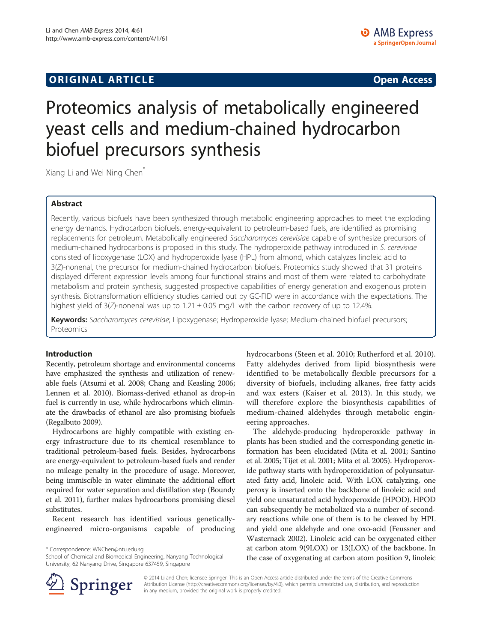# **ORIGINAL ARTICLE CONSUMING A LIGACION** CONSUMING A LIGACION CONSUMING A LIGACION CONSUMING A LIGACION CONSUMING A LIGACION CONSUMING A LIGACION CONSUMING A LIGACION CONSUMING A LIGACION CONSUMING A LIGACION CONSUMING A

# Proteomics analysis of metabolically engineered yeast cells and medium-chained hydrocarbon biofuel precursors synthesis

Xiang Li and Wei Ning Chen\*

## Abstract

Recently, various biofuels have been synthesized through metabolic engineering approaches to meet the exploding energy demands. Hydrocarbon biofuels, energy-equivalent to petroleum-based fuels, are identified as promising replacements for petroleum. Metabolically engineered Saccharomyces cerevisiae capable of synthesize precursors of medium-chained hydrocarbons is proposed in this study. The hydroperoxide pathway introduced in S. cerevisiae consisted of lipoxygenase (LOX) and hydroperoxide lyase (HPL) from almond, which catalyzes linoleic acid to 3(Z)-nonenal, the precursor for medium-chained hydrocarbon biofuels. Proteomics study showed that 31 proteins displayed different expression levels among four functional strains and most of them were related to carbohydrate metabolism and protein synthesis, suggested prospective capabilities of energy generation and exogenous protein synthesis. Biotransformation efficiency studies carried out by GC-FID were in accordance with the expectations. The highest yield of  $3\overline{Z}$ -nonenal was up to  $1.21 \pm 0.05$  mg/L with the carbon recovery of up to 12.4%.

Keywords: Saccharomyces cerevisiae; Lipoxygenase; Hydroperoxide lyase; Medium-chained biofuel precursors; Proteomics

#### Introduction

Recently, petroleum shortage and environmental concerns have emphasized the synthesis and utilization of renewable fuels (Atsumi et al. [2008;](#page-7-0) Chang and Keasling [2006](#page-7-0); Lennen et al. [2010\)](#page-7-0). Biomass-derived ethanol as drop-in fuel is currently in use, while hydrocarbons which eliminate the drawbacks of ethanol are also promising biofuels (Regalbuto [2009\)](#page-8-0).

Hydrocarbons are highly compatible with existing energy infrastructure due to its chemical resemblance to traditional petroleum-based fuels. Besides, hydrocarbons are energy-equivalent to petroleum-based fuels and render no mileage penalty in the procedure of usage. Moreover, being immiscible in water eliminate the additional effort required for water separation and distillation step (Boundy et al. [2011\)](#page-7-0), further makes hydrocarbons promising diesel substitutes.

Recent research has identified various geneticallyengineered micro-organisms capable of producing

\* Correspondence: [WNChen@ntu.edu.sg](mailto:WNChen@ntu.edu.sg)

School of Chemical and Biomedical Engineering, Nanyang Technological University, 62 Nanyang Drive, Singapore 637459, Singapore

hydrocarbons (Steen et al. [2010](#page-8-0); Rutherford et al. [2010](#page-8-0)). Fatty aldehydes derived from lipid biosynthesis were identified to be metabolically flexible precursors for a diversity of biofuels, including alkanes, free fatty acids and wax esters (Kaiser et al. [2013\)](#page-7-0). In this study, we will therefore explore the biosynthesis capabilities of medium-chained aldehydes through metabolic engineering approaches.

The aldehyde-producing hydroperoxide pathway in plants has been studied and the corresponding genetic information has been elucidated (Mita et al. [2001](#page-7-0); Santino et al. [2005](#page-8-0); Tijet et al. [2001](#page-8-0); Mita et al. [2005](#page-8-0)). Hydroperoxide pathway starts with hydroperoxidation of polyunsaturated fatty acid, linoleic acid. With LOX catalyzing, one peroxy is inserted onto the backbone of linoleic acid and yield one unsaturated acid hydroperoxide (HPOD). HPOD can subsequently be metabolized via a number of secondary reactions while one of them is to be cleaved by HPL and yield one aldehyde and one oxo-acid (Feussner and Wasternack [2002\)](#page-7-0). Linoleic acid can be oxygenated either at carbon atom 9(9LOX) or 13(LOX) of the backbone. In the case of oxygenating at carbon atom position 9, linoleic



© 2014 Li and Chen; licensee Springer. This is an Open Access article distributed under the terms of the Creative Commons Attribution License [\(http://creativecommons.org/licenses/by/4.0\)](http://creativecommons.org/licenses/by/4.0), which permits unrestricted use, distribution, and reproduction in any medium, provided the original work is properly credited.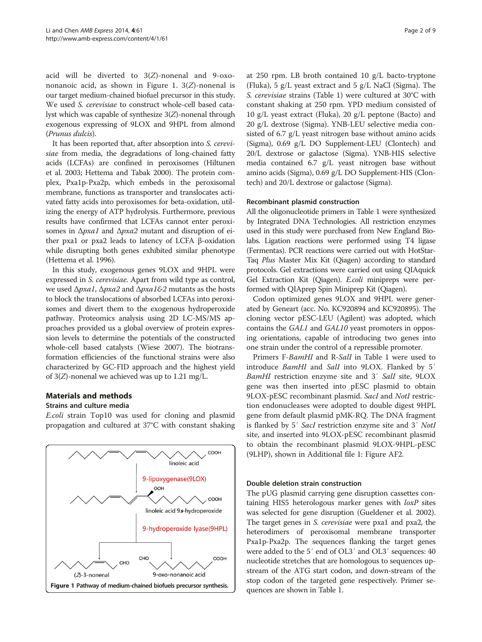acid will be diverted to 3(Z)-nonenal and 9-oxononanoic acid, as shown in Figure 1. 3(Z)-nonenal is our target medium-chained biofuel precursor in this study. We used S. cerevisiae to construct whole-cell based catalyst which was capable of synthesize 3(Z)-nonenal through exogenous expressing of 9LOX and 9HPL from almond (Prunus dulcis).

It has been reported that, after absorption into S. cerevisiae from media, the degradations of long-chained fatty acids (LCFAs) are confined in peroxisomes (Hiltunen et al. [2003](#page-7-0); Hettema and Tabak [2000\)](#page-7-0). The protein complex, Pxa1p-Pxa2p, which embeds in the peroxisomal membrane, functions as transporter and translocates activated fatty acids into peroxisomes for beta-oxidation, utilizing the energy of ATP hydrolysis. Furthermore, previous results have confirmed that LCFAs cannot enter peroxisomes in  $\Delta p x a1$  and  $\Delta p x a2$  mutant and disruption of either pxa1 or pxa2 leads to latency of LCFA β-oxidation while disrupting both genes exhibited similar phenotype (Hettema et al. [1996\)](#page-7-0).

In this study, exogenous genes 9LOX and 9HPL were expressed in S. cerevisiae. Apart from wild type as control, we used Δ*pxa1*, Δ*pxa2* and Δ*pxa1&2* mutants as the hosts to block the translocations of absorbed LCFAs into peroxisomes and divert them to the exogenous hydroperoxide pathway. Proteomics analysis using 2D LC-MS/MS approaches provided us a global overview of protein expression levels to determine the potentials of the constructed whole-cell based catalysts (Wiese [2007](#page-8-0)). The biotransformation efficiencies of the functional strains were also characterized by GC-FID approach and the highest yield of 3(Z)-nonenal we achieved was up to 1.21 mg/L.

#### Materials and methods

#### Strains and culture media

E.coli strain Top10 was used for cloning and plasmid propagation and cultured at 37°C with constant shaking



at 250 rpm. LB broth contained 10 g/L bacto-tryptone (Fluka), 5 g/L yeast extract and 5 g/L NaCl (Sigma). The S. cerevisiae strains (Table [1\)](#page-2-0) were cultured at 30°C with constant shaking at 250 rpm. YPD medium consisted of 10 g/L yeast extract (Fluka), 20 g/L peptone (Bacto) and 20 g/L dextrose (Sigma). YNB-LEU selective media consisted of 6.7 g/L yeast nitrogen base without amino acids (Sigma), 0.69 g/L DO Supplement-LEU (Clontech) and 20/L dextrose or galactose (Sigma). YNB-HIS selective media contained 6.7 g/L yeast nitrogen base without amino acids (Sigma), 0.69 g/L DO Supplement-HIS (Clontech) and 20/L dextrose or galactose (Sigma).

#### Recombinant plasmid construction

All the oligonucleotide primers in Table [1](#page-2-0) were synthesized by Integrated DNA Technologies. All restriction enzymes used in this study were purchased from New England Biolabs. Ligation reactions were performed using T4 ligase (Fermentas). PCR reactions were carried out with HotStar-Taq Plus Master Mix Kit (Qiagen) according to standard protocols. Gel extractions were carried out using QIAquick Gel Extraction Kit (Qiagen). E.coli minipreps were performed with QIAprep Spin Miniprep Kit (Qiagen).

Codon optimized genes 9LOX and 9HPL were generated by Geneart (acc. No. KC920894 and KC920895). The cloning vector pESC-LEU (Agilent) was adopted, which contains the GAL1 and GAL10 yeast promoters in opposing orientations, capable of introducing two genes into one strain under the control of a repressible promoter.

Primers F-BamHI and R-SalI in Table [1](#page-2-0) were used to introduce BamHI and SalI into 9LOX. Flanked by 5′ BamHI restriction enzyme site and 3′ SalI site, 9LOX gene was then inserted into pESC plasmid to obtain 9LOX-pESC recombinant plasmid. SacI and NotI restriction endonucleases were adopted to double digest 9HPL gene from default plasmid pMK-RQ. The DNA fragment is flanked by 5′ SacI restriction enzyme site and 3′ NotI site, and inserted into 9LOX-pESC recombinant plasmid to obtain the recombinant plasmid 9LOX-9HPL-pESC (9LHP), shown in Additional file [1](#page-7-0): Figure AF2.

#### Double deletion strain construction

The pUG plasmid carrying gene disruption cassettes containing HIS5 heterologous marker genes with  $loxP$  sites was selected for gene disruption (Gueldener et al. [2002](#page-7-0)). The target genes in S. cerevisiae were pxa1 and pxa2, the heterodimers of peroxisomal membrane transporter Pxa1p-Pxa2p. The sequences flanking the target genes were added to the 5′ end of OL3′ and OL3′ sequences: 40 nucleotide stretches that are homologous to sequences upstream of the ATG start codon, and down-stream of the stop codon of the targeted gene respectively. Primer se-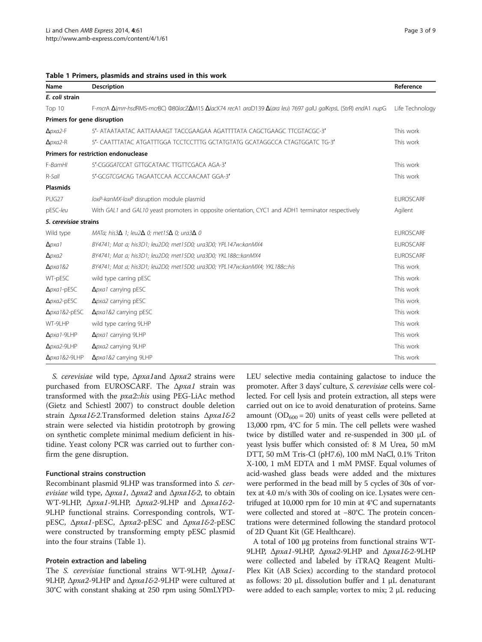<span id="page-2-0"></span>

|  |  | Table 1 Primers, plasmids and strains used in this work |  |  |  |  |  |
|--|--|---------------------------------------------------------|--|--|--|--|--|
|--|--|---------------------------------------------------------|--|--|--|--|--|

| Name                        | <b>Description</b>                                                                                                                            | Reference        |
|-----------------------------|-----------------------------------------------------------------------------------------------------------------------------------------------|------------------|
| E. coli strain              |                                                                                                                                               |                  |
| Top 10                      | F-mcrA <b>Δ</b> (mrr-hsdRMS-mcrBC) Φ80lacZ <b>Δ</b> M15 <b>Δ</b> lacX74 recA1 araD139 <b>Δ</b> (ara leu) 7697 galU galKrpsL (StrR) endA1 nupG | Life Technology  |
| Primers for gene disruption |                                                                                                                                               |                  |
| $\Delta$ <i>pxa2</i> -F     | 5'- ATAATAATAC AATTAAAAGT TACCGAAGAA AGATTTTATA CAGCTGAAGC TTCGTACGC-3'                                                                       | This work        |
| $\Delta$ <i>pxa2</i> -R     | 5'- CAATTTATAC ATGATTTGGA TCCTCCTTTG GCTATGTATG GCATAGGCCA CTAGTGGATC TG-3'                                                                   | This work        |
|                             | Primers for restriction endonuclease                                                                                                          |                  |
| F-BamHI                     | 5'-CGGGATCCAT GTTGCATAAC TTGTTCGACA AGA-3'                                                                                                    | This work        |
| $R-Sall$                    | 5'-GCGTCGACAG TAGAATCCAA ACCCAACAAT GGA-3'                                                                                                    | This work        |
| <b>Plasmids</b>             |                                                                                                                                               |                  |
| PUG27                       | loxP-kanMX-loxP disruption module plasmid                                                                                                     | <b>EUROSCARF</b> |
| pESC-leu                    | With GAL1 and GAL10 yeast promoters in opposite orientation, CYC1 and ADH1 terminator respectively                                            | Agilent          |
| S. cerevisiae strains       |                                                                                                                                               |                  |
| Wild type                   | MATa; his $3\Delta$ 1; leu $2\Delta$ 0; met 15 $\Delta$ 0; ura $3\Delta$ 0                                                                    | <b>EUROSCARF</b> |
| $\Delta p$ <i>xa</i> 1      | BY4741; Mat a; his3D1; leu2D0; met15D0; ura3D0; YPL147w::kanMX4                                                                               | <b>EUROSCARF</b> |
| $\Delta p$ xa2              | BY4741; Mat a; his3D1; leu2D0; met15D0; ura3D0; YKL188c:: kanMX4                                                                              | <b>EUROSCARF</b> |
| $\Delta$ <i>pxa</i> 1&2     | BY4741; Mat a; his3D1; leu2D0; met15D0; ura3D0; YPL147w::kanMX4; YKL188c::his                                                                 | This work        |
| WT-pESC                     | wild type carring pESC                                                                                                                        | This work        |
| $\Delta p$ <i>xa</i> 1-pESC | $\Delta p$ xa1 carrying pESC                                                                                                                  | This work        |
| $\Delta$ <i>pxa2</i> -pESC  | $\Delta p$ xa2 carrying pESC                                                                                                                  | This work        |
| $\Delta p$ xa1&2-pESC       | $\Delta p$ xa1&2 carrying pESC                                                                                                                | This work        |
| WT-9LHP                     | wild type carring 9LHP                                                                                                                        | This work        |
| $\Delta$ <i>pxa1</i> -9LHP  | Apxa1 carrying 9LHP                                                                                                                           | This work        |
| $\Delta$ <i>pxa2</i> -9LHP  | $\Delta p$ xa2 carrying 9LHP                                                                                                                  | This work        |
| Δ <i>pxa1&amp;2-9LHP</i>    | Δ <i>pxa1&amp;2</i> carrying 9LHP                                                                                                             | This work        |

S. cerevisiae wild type, Δpxa1and Δpxa2 strains were purchased from EUROSCARF. The Δpxa1 strain was transformed with the *pxa2*::his using PEG-LiAc method (Gietz and Schiestl [2007\)](#page-7-0) to construct double deletion strain Δpxa1&2.Transformed deletion stains Δpxa1&2 strain were selected via histidin prototroph by growing on synthetic complete minimal medium deficient in histidine. Yeast colony PCR was carried out to further confirm the gene disruption.

#### Functional strains construction

Recombinant plasmid 9LHP was transformed into S. cerevisiae wild type,  $\Delta p x a 1$ ,  $\Delta p x a 2$  and  $\Delta p x a 16-2$ , to obtain WT-9LHP, Δpxa1-9LHP, Δpxa2-9LHP and Δpxa1&2- 9LHP functional strains. Corresponding controls, WTpESC, Δpxa1-pESC, Δpxa2-pESC and Δpxa1&2-pESC were constructed by transforming empty pESC plasmid into the four strains (Table 1).

#### Protein extraction and labeling

The S. cerevisiae functional strains WT-9LHP, Δpxa1- 9LHP, Δpxa2-9LHP and Δpxa1&2-9LHP were cultured at 30°C with constant shaking at 250 rpm using 50mLYPD-

LEU selective media containing galactose to induce the promoter. After 3 days' culture, S. cerevisiae cells were collected. For cell lysis and protein extraction, all steps were carried out on ice to avoid denaturation of proteins. Same amount ( $OD_{600} = 20$ ) units of yeast cells were pelleted at 13,000 rpm, 4°C for 5 min. The cell pellets were washed twice by distilled water and re-suspended in 300 μL of yeast lysis buffer which consisted of: 8 M Urea, 50 mM DTT, 50 mM Tris-Cl (pH7.6), 100 mM NaCl, 0.1% Triton X-100, 1 mM EDTA and 1 mM PMSF. Equal volumes of acid-washed glass beads were added and the mixtures were performed in the bead mill by 5 cycles of 30s of vortex at 4.0 m/s with 30s of cooling on ice. Lysates were centrifuged at 10,000 rpm for 10 min at 4°C and supernatants were collected and stored at −80°C. The protein concentrations were determined following the standard protocol of 2D Quant Kit (GE Healthcare).

A total of 100 μg proteins from functional strains WT-9LHP, Δpxa1-9LHP, Δpxa2-9LHP and Δpxa1&2-9LHP were collected and labeled by iTRAQ Reagent Multi-Plex Kit (AB Sciex) according to the standard protocol as follows: 20 μL dissolution buffer and 1 μL denaturant were added to each sample; vortex to mix; 2 μL reducing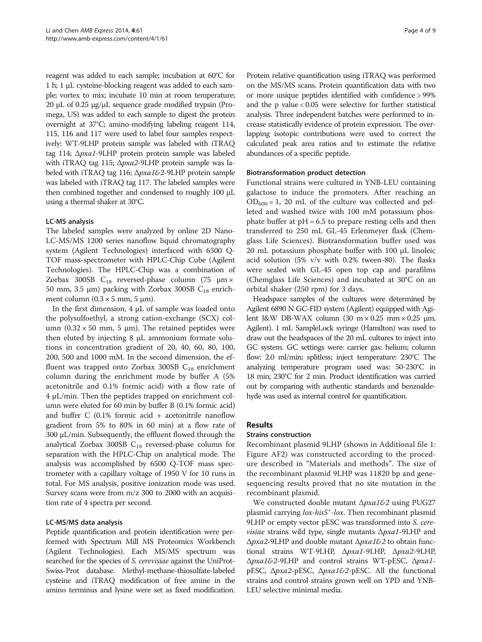reagent was added to each sample; incubation at 60°C for 1 h; 1 μL cysteine-blocking reagent was added to each sample; vortex to mix; incubate 10 min at room temperature; 20 μL of 0.25 μg/μL sequence grade modified trypsin (Promega, US) was added to each sample to digest the protein overnight at 37°C; amino-modifying labeling reagent 114, 115, 116 and 117 were used to label four samples respectively: WT-9LHP protein sample was labeled with iTRAQ tag 114; Δpxa1-9LHP protein protein sample was labeled with iTRAQ tag 115; Δ*pxa2*-9LHP protein sample was labeled with iTRAQ tag 116; Δpxa1&2-9LHP protein sample was labeled with iTRAQ tag 117. The labeled samples were then combined together and condensed to roughly 100 μL using a thermal shaker at 30°C.

#### LC-MS analysis

The labeled samples were analyzed by online 2D Nano-LC-MS/MS 1200 series nanoflow liquid chromatography system (Agilent Technologies) interfaced with 6500 Q-TOF mass-spectrometer with HPLC-Chip Cube (Agilent Technologies). The HPLC-Chip was a combination of Zorbax 300SB  $C_{18}$  reversed-phase column (75  $\mu$ m × 50 mm, 3.5 μm) packing with Zorbax 300SB  $C_{18}$  enrichment column  $(0.3 \times 5 \text{ mm}, 5 \text{ }\mu\text{m})$ .

In the first dimension, 4 μL of sample was loaded onto the polysulfoethyl, a strong cation-exchange (SCX) column (0.32 × 50 mm, 5 μm). The retained peptides were then eluted by injecting 8 μL ammonium formate solutions in concentration gradient of 20, 40, 60, 80, 100, 200, 500 and 1000 mM. In the second dimension, the effluent was trapped onto Zorbax 300SB  $C_{18}$  enrichment column during the enrichment mode by buffer A (5% acetonitrile and 0.1% formic acid) with a flow rate of 4 μL/min. Then the peptides trapped on enrichment column were eluted for 60 min by buffer B (0.1% formic acid) and buffer C (0.1% formic acid + acetonitrile nanoflow gradient from 5% to 80% in 60 min) at a flow rate of 300 μL/min. Subsequently, the effluent flowed through the analytical Zorbax 300SB  $C_{18}$  reversed-phase column for separation with the HPLC-Chip on analytical mode. The analysis was accomplished by 6500 Q-TOF mass spectrometer with a capillary voltage of 1950 V for 10 runs in total. For MS analysis, positive ionization mode was used. Survey scans were from m/z 300 to 2000 with an acquisition rate of 4 spectra per second.

#### LC-MS/MS data analysis

Peptide quantification and protein identification were performed with Spectrum Mill MS Proteomics Workbench (Agilent Technologies). Each MS/MS spectrum was searched for the species of *S. cerevisiae* against the UniProt-Swiss-Prot database. Methyl-methane-thiosulfate-labeled cysteine and iTRAQ modification of free amine in the amino terminus and lysine were set as fixed modification.

Protein relative quantification using iTRAQ was performed on the MS/MS scans. Protein quantification data with two or more unique peptides identified with confidence > 99% and the p value < 0.05 were selective for further statistical analysis. Three independent batches were performed to increase statistically evidence of protein expression. The overlapping isotopic contributions were used to correct the calculated peak area ratios and to estimate the relative abundances of a specific peptide.

#### Biotransformation product detection

Functional strains were cultured in YNB-LEU containing galactose to induce the promoters. After reaching an  $OD_{600} = 1$ , 20 mL of the culture was collected and pelleted and washed twice with 100 mM potassium phosphate buffer at  $pH = 6.5$  to prepare resting cells and then transferred to 250 mL GL-45 Erlenmeyer flask (Chemglass Life Sciences). Biotransformation buffer used was 20 mL potassium phosphate buffer with 100 μL linoleic acid solution (5% v/v with 0.2% tween-80). The flasks were sealed with GL-45 open top cap and parafilms (Chemglass Life Sciences) and incubated at 30°C on an orbital shaker (250 rpm) for 3 days.

Headspace samples of the cultures were determined by Agilent 6890 N GC-FID system (Agilent) equipped with Agilent J&W DB-WAX column (30 m × 0.25 mm × 0.25 μm, Agilent). 1 mL SampleLock syringe (Hamilton) was used to draw out the headspaces of the 20 mL cultures to inject into GC system. GC settings were: carrier gas: helium; column flow: 2.0 ml/min; splitless; inject temperature: 230°C The analyzing temperature program used was: 50-230°C in 18 min; 230°C for 2 min. Product identification was carried out by comparing with authentic standards and benzoaldehyde was used as internal control for quantification.

## Results

#### Strains construction

Recombinant plasmid 9LHP (shown in Additional file [1](#page-7-0): Figure AF2) was constructed according to the procedure described in "Materials and methods". The size of the recombinant plasmid 9LHP was 11820 bp and genesequencing results proved that no site mutation in the recombinant plasmid.

We constructed double mutant Δ*pxa1&2* using PUG27 plasmid carrying lox-his5<sup>+</sup>-lox. Then recombinant plasmid 9LHP or empty vector pESC was transformed into S. cere*visiae* strains wild type, single mutants  $\Delta p x a 1$ -9LHP and Δpxa2-9LHP and double mutant Δpxa1&2 to obtain functional strains WT-9LHP, Δpxa1-9LHP, Δpxa2-9LHP, Δpxa1&2-9LHP and control strains WT-pESC, Δpxa1 pESC, Δpxa2-pESC, Δpxa1&2-pESC. All the functional strains and control strains grown well on YPD and YNB-LEU selective minimal media.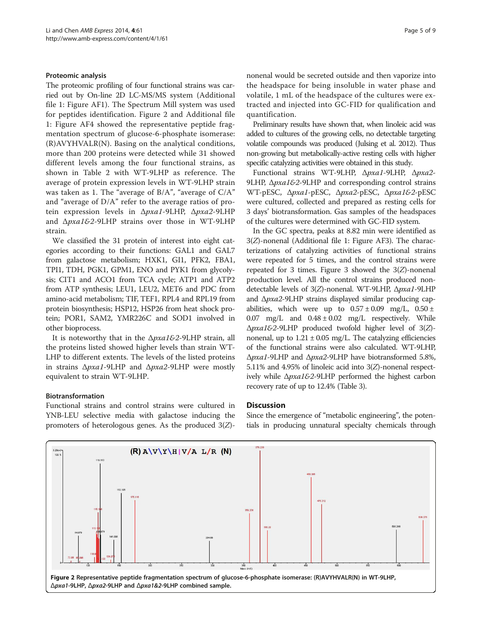#### Proteomic analysis

The proteomic profiling of four functional strains was carried out by On-line 2D LC-MS/MS system (Additional file [1:](#page-7-0) Figure AF1). The Spectrum Mill system was used for peptides identification. Figure 2 and Additional file [1:](#page-7-0) Figure AF4 showed the representative peptide fragmentation spectrum of glucose-6-phosphate isomerase: (R)AVYHVALR(N). Basing on the analytical conditions, more than 200 proteins were detected while 31 showed different levels among the four functional strains, as shown in Table [2](#page-5-0) with WT-9LHP as reference. The average of protein expression levels in WT-9LHP strain was taken as 1. The "average of B/A", "average of C/A" and "average of D/A" refer to the average ratios of protein expression levels in Δpxa1-9LHP, Δpxa2-9LHP and Δpxa1&2-9LHP strains over those in WT-9LHP strain.

We classified the 31 protein of interest into eight categories according to their functions: GAL1 and GAL7 from galactose metabolism; HXK1, GI1, PFK2, FBA1, TPI1, TDH, PGK1, GPM1, ENO and PYK1 from glycolysis; CIT1 and ACO1 from TCA cycle; ATP1 and ATP2 from ATP synthesis; LEU1, LEU2, MET6 and PDC from amino-acid metabolism; TIF, TEF1, RPL4 and RPL19 from protein biosynthesis; HSP12, HSP26 from heat shock protein; POR1, SAM2, YMR226C and SOD1 involved in other bioprocess.

It is noteworthy that in the  $\Delta pxa162-9LHP$  strain, all the proteins listed showed higher levels than strain WT-LHP to different extents. The levels of the listed proteins in strains Δpxa1-9LHP and Δpxa2-9LHP were mostly equivalent to strain WT-9LHP.

#### Biotransformation

Functional strains and control strains were cultured in YNB-LEU selective media with galactose inducing the promoters of heterologous genes. As the produced  $3(Z)$ -

nonenal would be secreted outside and then vaporize into the headspace for being insoluble in water phase and volatile, 1 mL of the headspace of the cultures were extracted and injected into GC-FID for qualification and quantification.

Preliminary results have shown that, when linoleic acid was added to cultures of the growing cells, no detectable targeting volatile compounds was produced (Julsing et al. [2012\)](#page-7-0). Thus non-growing but metabolically-active resting cells with higher specific catalyzing activities were obtained in this study.

Functional strains WT-9LHP, Δpxa1-9LHP, Δpxa2- 9LHP, Δ*pxa1&2*-9LHP and corresponding control strains WT-pESC, Δpxa1-pESC, Δpxa2-pESC, Δpxa1&2-pESC were cultured, collected and prepared as resting cells for 3 days' biotransformation. Gas samples of the headspaces of the cultures were determined with GC-FID system.

In the GC spectra, peaks at 8.82 min were identified as 3(Z)-nonenal (Additional file [1:](#page-7-0) Figure AF3). The characterizations of catalyzing activities of functional strains were repeated for 5 times, and the control strains were repeated for [3](#page-6-0) times. Figure 3 showed the  $3(Z)$ -nonenal production level. All the control strains produced nondetectable levels of 3(Z)-nonenal. WT-9LHP, Δpxa1-9LHP and Δpxa2-9LHP strains displayed similar producing capabilities, which were up to  $0.57 \pm 0.09$  mg/L,  $0.50 \pm$  $0.07$  mg/L and  $0.48 \pm 0.02$  mg/L respectively. While Δpxa1&2-9LHP produced twofold higher level of 3(Z) nonenal, up to  $1.21 \pm 0.05$  mg/L. The catalyzing efficiencies of the functional strains were also calculated. WT-9LHP, Δpxa1-9LHP and Δpxa2-9LHP have biotransformed 5.8%, 5.11% and 4.95% of linoleic acid into 3(Z)-nonenal respectively while Δpxa1&2-9LHP performed the highest carbon recovery rate of up to 12.4% (Table [3](#page-6-0)).

#### **Discussion**

Since the emergence of "metabolic engineering", the potentials in producing unnatural specialty chemicals through

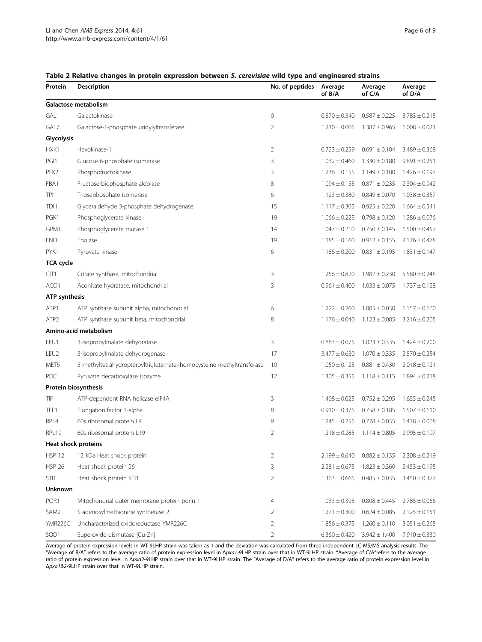| Protein              | Description                                                          | No. of peptides | Average<br>of B/A | Average<br>of C/A | Average<br>of D/A |
|----------------------|----------------------------------------------------------------------|-----------------|-------------------|-------------------|-------------------|
|                      | Galactose metabolism                                                 |                 |                   |                   |                   |
| GAL1                 | Galactokinase                                                        | 9               | $0.870 \pm 0.340$ | $0.587 \pm 0.225$ | $3.783 \pm 0.215$ |
| GAL7                 | Galactose-1-phosphate uridylyltransferase                            | 2               | $1.230 \pm 0.005$ | $1.387 \pm 0.965$ | $1.008 \pm 0.021$ |
| Glycolysis           |                                                                      |                 |                   |                   |                   |
| HXK1                 | Hexokinase-1                                                         | 2               | $0.723 \pm 0.259$ | $0.691 \pm 0.104$ | $3.489 \pm 0.368$ |
| PGI1                 | Glucose-6-phosphate isomerase                                        | 3               | $1.032 \pm 0.460$ | $1.330 \pm 0.180$ | $9.891 \pm 0.251$ |
| PFK <sub>2</sub>     | Phosphofructokinase                                                  | 3               | $1.236 \pm 0.155$ | $1.149 \pm 0.100$ | $1.426 \pm 0.197$ |
| FBA1                 | Fructose-biophosphate aldolase                                       | 8               | $1.094 \pm 0.155$ | $0.871 \pm 0.235$ | $2.304 \pm 0.942$ |
| TPI1                 | Triosephosphate isomerase                                            | 6               | $1.123 \pm 0.380$ | $0.849 \pm 0.070$ | $1.038 \pm 0.357$ |
| TDH                  | Glyceraldehyde 3-phosphate dehydrogenase                             | 15              | $1.117 \pm 0.305$ | $0.925 \pm 0.220$ | $1.664 \pm 0.541$ |
| PGK1                 | Phosphoglycerate kinase                                              | 19              | $1.066 \pm 0.225$ | $0.798 \pm 0.120$ | $1.286 \pm 0.076$ |
| GPM1                 | Phosphoglycerate mutase 1                                            | 14              | $1.047 \pm 0.210$ | $0.750 \pm 0.145$ | $1.500 \pm 0.457$ |
| <b>ENO</b>           | Enolase                                                              | 19              | $1.185 \pm 0.160$ | $0.912 \pm 0.155$ | $2.176 \pm 0.478$ |
| PYK1                 | Pyruvate kinase                                                      | 6               | $1.186 \pm 0.200$ | $0.831 \pm 0.195$ | $1.831 \pm 0.147$ |
| <b>TCA cycle</b>     |                                                                      |                 |                   |                   |                   |
| CIT1                 | Citrate synthase, mitochondrial                                      | 3               | $1.256 \pm 0.820$ | $1.982 \pm 0.230$ | $5.580 \pm 0.248$ |
| ACO1                 | Aconitate hydratase, mitochondrial                                   | 3               | $0.961 \pm 0.400$ | $1.033 \pm 0.075$ | $1.737 \pm 0.128$ |
| <b>ATP</b> synthesis |                                                                      |                 |                   |                   |                   |
| ATP1                 | ATP synthase subunit alpha, mitochondrial                            | 6               | $1.222 \pm 0.260$ | $1.005 \pm 0.030$ | $1.157 \pm 0.160$ |
| ATP <sub>2</sub>     | ATP synthase subunit beta, mitochondrial                             | 8               | $1.176 \pm 0.040$ | $1.123 \pm 0.085$ | $3.216 \pm 0.205$ |
|                      | Amino-acid metabolism                                                |                 |                   |                   |                   |
| LEU1                 | 3-isopropylmalate dehydratase                                        | 3               | $0.883 \pm 0.075$ | $1.023 \pm 0.335$ | $1.424 \pm 0.200$ |
| LEU <sub>2</sub>     | 3-isopropylmalate dehydrogenase                                      | 17              | $3.477 \pm 0.630$ | $1.070 \pm 0.335$ | $2.570 \pm 0.254$ |
| MET6                 | 5-methyltetrahydropteroyltriglutamate-homocysteine methyltransferase | 10              | $1.050 \pm 0.125$ | $0.881 \pm 0.430$ | $2.018 \pm 0.121$ |
| PDC                  | Pyruvate decarboxylase isozyme                                       | 12              | $1.305 \pm 0.355$ | $1.118 \pm 0.115$ | $1.894 \pm 0.218$ |
|                      | Protein biosynthesis                                                 |                 |                   |                   |                   |
| TIF                  | ATP-dependent RNA helicase eIF4A                                     | 3               | $1.408 \pm 0.025$ | $0.752 \pm 0.295$ | $1.655 \pm 0.245$ |
| TEF1                 | Elongation factor 1-alpha                                            | 8               | $0.910 \pm 0.375$ | $0.758 \pm 0.185$ | $1.507 \pm 0.110$ |
| RPL4                 | 60s ribosomal protein L4                                             | 9               | $1.245 \pm 0.255$ | $0.778 \pm 0.035$ | $1.418 \pm 0.068$ |
| RPL19                | 60s ribosomal protein L19                                            | $\overline{2}$  | $1.218 \pm 0.285$ | $1.114 \pm 0.805$ | $2.995 \pm 0.197$ |
|                      | Heat shock proteins                                                  |                 |                   |                   |                   |
| <b>HSP 12</b>        | 12 kDa Heat shock protein                                            | 2               | $2.199 \pm 0.640$ | $0.882 \pm 0.135$ | $2.308 \pm 0.219$ |
| <b>HSP 26</b>        | Heat shock protein 26                                                | 3               | $2.281 \pm 0.675$ | $1.823 \pm 0.360$ | $2.453 \pm 0.195$ |
| STI1                 | Heat shock protein STI1                                              | 2               | $1.363 \pm 0.665$ | $0.485 \pm 0.035$ | $3.450 \pm 0.377$ |
| <b>Unknown</b>       |                                                                      |                 |                   |                   |                   |
| POR1                 | Mitochondrial outer membrane protein porin 1                         | 4               | $1.033 \pm 0.395$ | $0.808 \pm 0.445$ | $2.785 \pm 0.066$ |
| SAM2                 | S-adenosylmethionine synthetase 2                                    | 2               | $1.271 \pm 0.300$ | $0.624 \pm 0.085$ | $2.125 \pm 0.151$ |
| YMR226C              | Uncharacterized oxidoreductase YMR226C                               | 2               | $1.856 \pm 0.375$ | $1.260 \pm 0.110$ | $3.051 \pm 0.265$ |
| SOD1                 | Superoxide dismutase [Cu-Zn]                                         | $\overline{2}$  | $6.360 \pm 0.420$ | $3.942 \pm 1.400$ | $7.910 \pm 0.330$ |

#### <span id="page-5-0"></span>Table 2 Relative changes in protein expression between S. cerevisiae wild type and engineered strains

Average of protein expression levels in WT-9LHP strain was taken as 1 and the deviation was calculated from three independent LC-MS/MS analysis results. The "Average of B/A" refers to the average ratio of protein expression level in Δpxa1-9LHP strain over that in WT-9LHP strain. "Average of C/A"refers to the average ratio of protein expression level in Δpxa2-9LHP strain over that in WT-9LHP strain. The "Average of D/A" refers to the average ratio of protein expression level in Δpxa1&2-9LHP strain over that in WT-9LHP strain.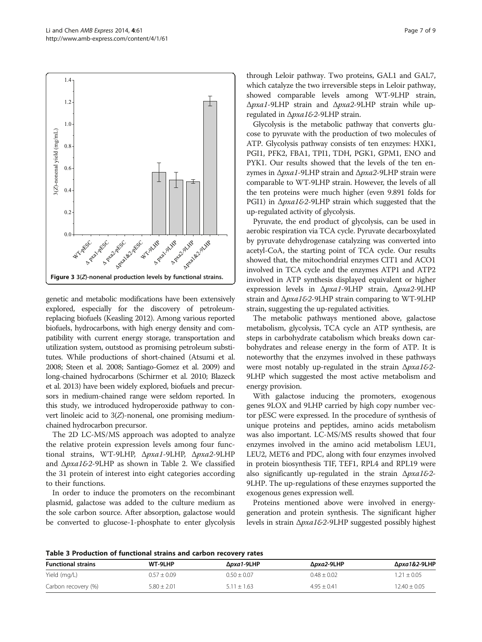<span id="page-6-0"></span>

genetic and metabolic modifications have been extensively explored, especially for the discovery of petroleumreplacing biofuels (Keasling [2012\)](#page-7-0). Among various reported biofuels, hydrocarbons, with high energy density and compatibility with current energy storage, transportation and utilization system, outstood as promising petroleum substitutes. While productions of short-chained (Atsumi et al. [2008;](#page-7-0) Steen et al. [2008](#page-8-0); Santiago-Gomez et al. [2009\)](#page-8-0) and long-chained hydrocarbons (Schirmer et al. [2010;](#page-8-0) Blazeck et al. [2013\)](#page-7-0) have been widely explored, biofuels and precursors in medium-chained range were seldom reported. In this study, we introduced hydroperoxide pathway to convert linoleic acid to 3(Z)-nonenal, one promising mediumchained hydrocarbon precursor.

The 2D LC-MS/MS approach was adopted to analyze the relative protein expression levels among four functional strains, WT-9LHP, Δpxa1-9LHP, Δpxa2-9LHP and  $\Delta p$ xa1&2-9LHP as shown in Table [2.](#page-5-0) We classified the 31 protein of interest into eight categories according to their functions.

In order to induce the promoters on the recombinant plasmid, galactose was added to the culture medium as the sole carbon source. After absorption, galactose would be converted to glucose-1-phosphate to enter glycolysis through Leloir pathway. Two proteins, GAL1 and GAL7, which catalyze the two irreversible steps in Leloir pathway, showed comparable levels among WT-9LHP strain, Δpxa1-9LHP strain and Δpxa2-9LHP strain while upregulated in Δpxa1&2-9LHP strain.

Glycolysis is the metabolic pathway that converts glucose to pyruvate with the production of two molecules of ATP. Glycolysis pathway consists of ten enzymes: HXK1, PGI1, PFK2, FBA1, TPI1, TDH, PGK1, GPM1, ENO and PYK1. Our results showed that the levels of the ten enzymes in  $Δpxa1-9LHP$  strain and  $Δpxa2-9LHP$  strain were comparable to WT-9LHP strain. However, the levels of all the ten proteins were much higher (even 9.891 folds for PGI1) in Δpxa1&2-9LHP strain which suggested that the up-regulated activity of glycolysis.

Pyruvate, the end product of glycolysis, can be used in aerobic respiration via TCA cycle. Pyruvate decarboxylated by pyruvate dehydrogenase catalyzing was converted into acetyl-CoA, the starting point of TCA cycle. Our results showed that, the mitochondrial enzymes CIT1 and ACO1 involved in TCA cycle and the enzymes ATP1 and ATP2 involved in ATP synthesis displayed equivalent or higher expression levels in Δpxa1-9LHP strain, Δpxa2-9LHP strain and Δpxa1&2-9LHP strain comparing to WT-9LHP strain, suggesting the up-regulated activities.

The metabolic pathways mentioned above, galactose metabolism, glycolysis, TCA cycle an ATP synthesis, are steps in carbohydrate catabolism which breaks down carbohydrates and release energy in the form of ATP. It is noteworthy that the enzymes involved in these pathways were most notably up-regulated in the strain Δ*pxa1&2-*9LHP which suggested the most active metabolism and energy provision.

With galactose inducing the promoters, exogenous genes 9LOX and 9LHP carried by high copy number vector pESC were expressed. In the procedure of synthesis of unique proteins and peptides, amino acids metabolism was also important. LC-MS/MS results showed that four enzymes involved in the amino acid metabolism LEU1, LEU2, MET6 and PDC, along with four enzymes involved in protein biosynthesis TIF, TEF1, RPL4 and RPL19 were also significantly up-regulated in the strain  $\Delta p x a 16-2$ -9LHP. The up-regulations of these enzymes supported the exogenous genes expression well.

Proteins mentioned above were involved in energygeneration and protein synthesis. The significant higher levels in strain Δpxa1&2-9LHP suggested possibly highest

Table 3 Production of functional strains and carbon recovery rates

| <b>Functional strains</b> | WT-9LHP         | Δ <i>pxa1</i> -9LHP | Δ <i>pxa2</i> -9LHP | Δ <i>pxa1&amp;2</i> -9LHP |
|---------------------------|-----------------|---------------------|---------------------|---------------------------|
| Yield (mg/L)              | $0.57 + 0.09$   | $0.50 + 0.07$       | $0.48 + 0.02$       | $1.21 + 0.05$             |
| Carbon recovery (%)       | $5.80 \pm 2.01$ | $5.11 + 1.63$       | $4.95 + 0.41$       | $12.40 \pm 0.05$          |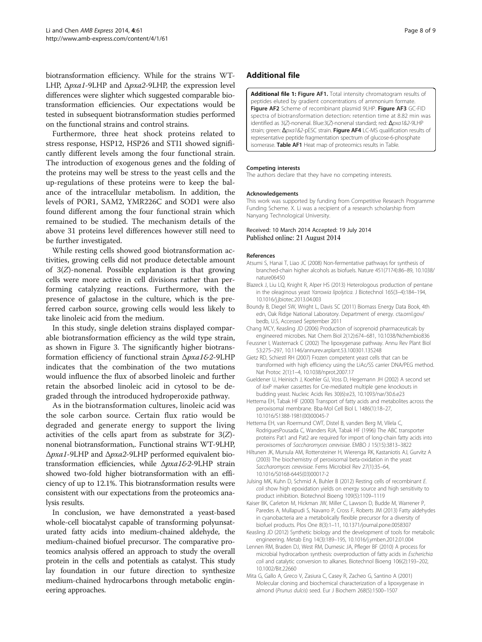<span id="page-7-0"></span>biotransformation efficiency. While for the strains WT-LHP, Δpxa1-9LHP and Δpxa2-9LHP, the expression level differences were slighter which suggested comparable biotransformation efficiencies. Our expectations would be tested in subsequent biotransformation studies performed on the functional strains and control strains.

Furthermore, three heat shock proteins related to stress response, HSP12, HSP26 and STI1 showed significantly different levels among the four functional strain. The introduction of exogenous genes and the folding of the proteins may well be stress to the yeast cells and the up-regulations of these proteins were to keep the balance of the intracellular metabolism. In addition, the levels of POR1, SAM2, YMR226C and SOD1 were also found different among the four functional strain which remained to be studied. The mechanism details of the above 31 proteins level differences however still need to be further investigated.

While resting cells showed good biotransformation activities, growing cells did not produce detectable amount of 3(Z)-nonenal. Possible explanation is that growing cells were more active in cell divisions rather than performing catalyzing reactions. Furthermore, with the presence of galactose in the culture, which is the preferred carbon source, growing cells would less likely to take linoleic acid from the medium.

In this study, single deletion strains displayed comparable biotransformation efficiency as the wild type strain, as shown in Figure [3](#page-6-0). The significantly higher biotransformation efficiency of functional strain Δpxa1&2-9LHP indicates that the combination of the two mutations would influence the flux of absorbed linoleic and further retain the absorbed linoleic acid in cytosol to be degraded through the introduced hydroperoxide pathway.

As in the biotransformation cultures, linoleic acid was the sole carbon source. Certain flux ratio would be degraded and generate energy to support the living activities of the cells apart from as substrate for  $3(Z)$ nonenal biotransformation,. Functional strains WT-9LHP, Δpxa1-9LHP and Δpxa2-9LHP performed equivalent biotransformation efficiencies, while Δpxa1&2-9LHP strain showed two-fold higher biotransformation with an efficiency of up to 12.1%. This biotransformation results were consistent with our expectations from the proteomics analysis results.

In conclusion, we have demonstrated a yeast-based whole-cell biocatalyst capable of transforming polyunsaturated fatty acids into medium-chained aldehyde, the medium-chained biofuel precursor. The comparative proteomics analysis offered an approach to study the overall protein in the cells and potentials as catalyst. This study lay foundation in our future direction to synthesize medium-chained hydrocarbons through metabolic engineering approaches.

## Additional file

[Additional file 1:](http://www.biomedcentral.com/content/supplementary/13568_2014_60_MOESM1_ESM.doc) Figure AF1. Total intensity chromatogram results of peptides eluted by gradient concentrations of ammonium formate. Figure AF2 Scheme of recombinant plasmid 9LHP. Figure AF3 GC-FID spectra of biotransformation detection: retention time at 8.82 min was identified as 3(Z)-nonenal. Blue:3(Z)-nonenal standard; red: Δρχα1&2-9LHP strain; green: Δ*pxa1&2*-pESC strain. Figure AF4 LC-MS qualification results of representative peptide fragmentation spectrum of glucose-6-phosphate isomerase. Table AF1 Heat map of proteomics results in Table.

#### Competing interests

The authors declare that they have no competing interests.

#### Acknowledgements

This work was supported by funding from Competitive Research Programme Funding Scheme. X. Li was a recipient of a research scholarship from Nanyang Technological University.

# Received: 10 March 2014 Accepted: 19 July 2014<br>Published online: 21 August 2014

#### References

- Atsumi S, Hanai T, Liao JC (2008) Non-fermentative pathways for synthesis of branched-chain higher alcohols as biofuels. Nature 451(7174):86–89, 10.1038/ nature06450
- Blazeck J, Liu LQ, Knight R, Alper HS (2013) Heterologous production of pentane in the oleaginous yeast Yarrowia lipolytica. J Biotechnol 165(3–4):184–194, 10.1016/j.jbiotec.2013.04.003
- Boundy B, Diegel SW, Wright L, Davis SC (2011) Biomass Energy Data Book, 4th edn, Oak Ridge National Laboratory. Department of energy. cta.ornl.gov/ bedb, U.S, Accessed September 2011
- Chang MCY, Keasling JD (2006) Production of isoprenoid pharmaceuticals by engineered microbes. Nat Chem Biol 2(12):674–681, 10.1038/Nchembio836
- Feussner I, Wasternack C (2002) The lipoxygenase pathway. Annu Rev Plant Biol 53:275–297, 10.1146/annurev.arplant.53.100301.135248
- Gietz RD, Schiestl RH (2007) Frozen competent yeast cells that can be transformed with high efficiency using the LiAc/SS carrier DNA/PEG method. Nat Protoc 2(1):1–4, 10.1038/nprot.2007.17
- Gueldener U, Heinisch J, Koehler GJ, Voss D, Hegemann JH (2002) A second set of loxP marker cassettes for Cre-mediated multiple gene knockouts in budding yeast. Nucleic Acids Res 30(6):e23, 10.1093/nar/30.6.e23
- Hettema EH, Tabak HF (2000) Transport of fatty acids and metabolites across the peroxisomal membrane. Bba-Mol Cell Biol L 1486(1):18–27, 10.1016/S1388-1981(00)00045-7
- Hettema EH, van Roermund CWT, Distel B, vanden Berg M, Vilela C, RodriguesPousada C, Wanders RJA, Tabak HF (1996) The ABC transporter proteins Pat1 and Pat2 are required for import of long-chain fatty acids into peroxisomes of Saccharomyces cerevisiae. EMBO J 15(15):3813–3822
- Hiltunen JK, Mursula AM, Rottensteiner H, Wierenga RK, Kastaniotis AJ, Gurvitz A (2003) The biochemistry of peroxisomal beta-oxidation in the yeast Saccharomyces cerevisiae. Fems Microbiol Rev 27(1):35–64, 10.1016/S0168-6445(03)00017-2
- Julsing MK, Kuhn D, Schmid A, Buhler B (2012) Resting cells of recombinant E. coli show high epoxidation yields on energy source and high sensitivity to product inhibition. Biotechnol Bioeng 109(5):1109–1119
- Kaiser BK, Carleton M, Hickman JW, Miller C, Lawson D, Budde M, Warrener P, Paredes A, Mullapudi S, Navarro P, Cross F, Roberts JM (2013) Fatty aldehydes in cyanobacteria are a metabolically flexible precursor for a diversity of biofuel products. Plos One 8(3):1–11, 10.1371/journal.pone.0058307
- Keasling JD (2012) Synthetic biology and the development of tools for metabolic engineering. Metab Eng 14(3):189–195, 10.1016/j.ymben.2012.01.004
- Lennen RM, Braden DJ, West RM, Dumesic JA, Pfleger BF (2010) A process for microbial hydrocarbon synthesis: overproduction of fatty acids in Escherichia coli and catalytic conversion to alkanes. Biotechnol Bioeng 106(2):193–202, 10.1002/Bit.22660
- Mita G, Gallo A, Greco V, Zasiura C, Casey R, Zacheo G, Santino A (2001) Molecular cloning and biochemical characterization of a lipoxygenase in almond (Prunus dulcis) seed. Eur J Biochem 268(5):1500–1507